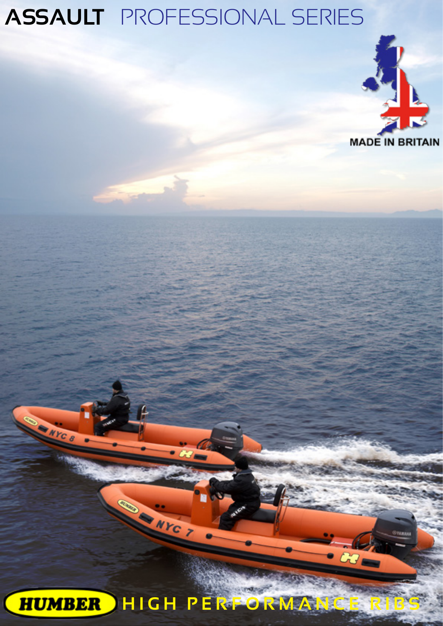

**HUMBER HIGH PERFORMAN**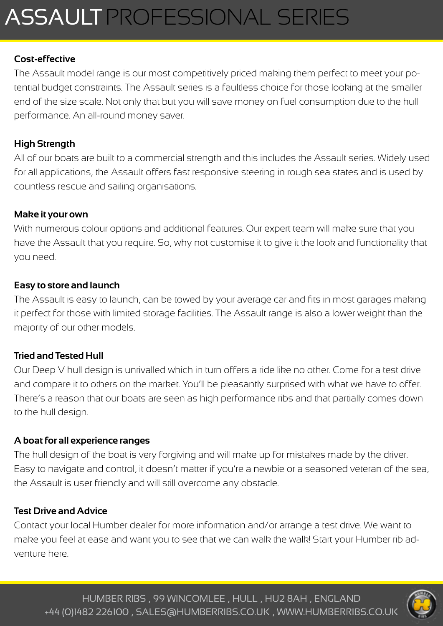### **Cost-effective**

The Assault model range is our most competitively priced making them perfect to meet your potential budget constraints. The Assault series is a faultless choice for those looking at the smaller end of the size scale. Not only that but you will save money on fuel consumption due to the hull performance. An all-round money saver.

### **High Strength**

All of our boats are built to a commercial strength and this includes the Assault series. Widely used for all applications, the Assault offers fast responsive steering in rough sea states and is used by countless rescue and sailing organisations.

#### **Make it your own**

With numerous colour options and additional features. Our expert team will make sure that you have the Assault that you require. So, why not customise it to give it the look and functionality that you need.

### **Easy to store and launch**

The Assault is easy to launch, can be towed by your average car and fits in most garages making it perfect for those with limited storage facilities. The Assault range is also a lower weight than the majority of our other models.

#### **Tried and Tested Hull**

Our Deep V hull design is unrivalled which in turn offers a ride like no other. Come for a test drive and compare it to others on the market. You'll be pleasantly surprised with what we have to offer. There's a reason that our boats are seen as high performance ribs and that partially comes down to the hull design.

#### **A boat for all experience ranges**

The hull design of the boat is very forgiving and will make up for mistakes made by the driver. Easy to navigate and control, it doesn't matter if you're a newbie or a seasoned veteran of the sea, the Assault is user friendly and will still overcome any obstacle.

#### **Test Drive and Advice**

Contact your local Humber dealer for more information and/or arrange a test drive. We want to make you feel at ease and want you to see that we can walk the walk! Start your Humber rib adventure here.

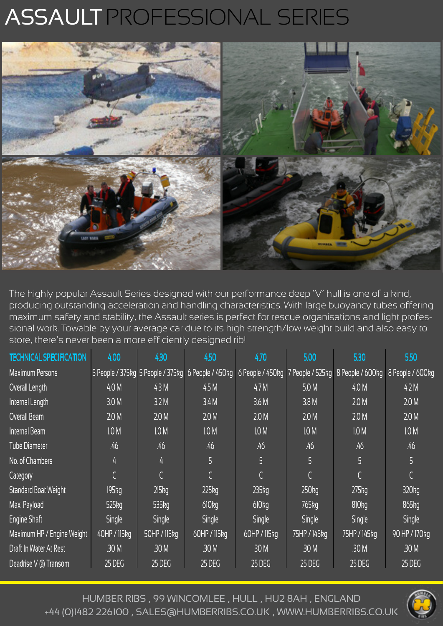

The highly popular Assault Series designed with our performance deep 'V' hull is one of a kind, producing outstanding acceleration and handling characteristics. With large buoyancy tubes offering maximum safety and stability, the Assault series is perfect for rescue organisations and light professional work. Towable by your average car due to its high strength/low weight build and also easy to store, there's never been a more efficiently designed rib!

| <b>TECHNICAL SPECIFICATION</b> | 4.00         | 4.30             | 4.50                                               | 4.70                              | 5.00              | 5.30              | 5.50                |
|--------------------------------|--------------|------------------|----------------------------------------------------|-----------------------------------|-------------------|-------------------|---------------------|
| <b>Maximum Persons</b>         |              |                  | 5 People / 375kg 5 People / 375kg 6 People / 450kg | 6 People / 450kg 7 People / 525kg |                   | 8 People / 600kg  | 8 People / 600kg    |
| Overall Length                 | 4.0 M        | 4.3M             | 4.5M                                               | 4.7 <sub>M</sub>                  | 5.0 M             | 4.0 M             | 42M                 |
| Internal Length                | 3.0 M        | 3.2 M            | 3.4M                                               | 3.6 M                             | 3.8M              | 2.0 M             | 2.0 M               |
| Overall Beam                   | 20M          | 20M              | 20M                                                | 20M                               | 20M               | 2.0 M             | 2.0 M               |
| Internal Beam                  | 10M          | 1.0 M            | 1.0 M                                              | 1.0 M                             | 1.0 M             | 10M               | 1.0 M               |
| <b>Tube Diameter</b>           | .46          | .46              | .46                                                | .46                               | .46               | .46               | .46                 |
| No. of Chambers                | 4            | 4                | 5                                                  | 5                                 | 5                 |                   | 5                   |
| Category                       |              |                  |                                                    |                                   |                   |                   |                     |
| <b>Standard Boat Weight</b>    | 195kg        | 215kg            | 225kg                                              | $235$ $kg$                        | 250kg             | 275kg             | $320$ <sub>kg</sub> |
| Max. Payload                   | 525kg        | $535$ $kg$       | <b>610kg</b>                                       | 610 <sub>kq</sub>                 | 765 <sub>kg</sub> | 810 <sub>kg</sub> | 865kg               |
| Engine Shaft                   | Single       | Single           | <b>Single</b>                                      | <b>Single</b>                     | <b>Single</b>     | <b>Single</b>     | Single              |
| Maximum HP / Engine Weight     | 40HP / 115kg | 50HP / 115kg     | 60HP / 115kg                                       | 60HP / 115kg                      | 75HP / 145kg      | 75HP / 145kg      | 90 HP / 170 kg      |
| Draft In Water At Rest         | .30 M        | .30 <sub>M</sub> | .30 M                                              | .30 M                             | .30 M             | .30 M             | .30 M               |
| Deadrise V @ Transom           | 25 DEG       | 25 DEG           | 25 DEG                                             | 25 DEG                            | 25 DEG            | <b>25 DEG</b>     | $25$ DEG            |

HUMBER RIBS , 99 WINCOMLEE , HULL , HU2 8AH , ENGLAND +44 (0)1482 226100 , SALES@HUMBERRIBS.CO.UK , WWW.HUMBERRIBS.CO.UK